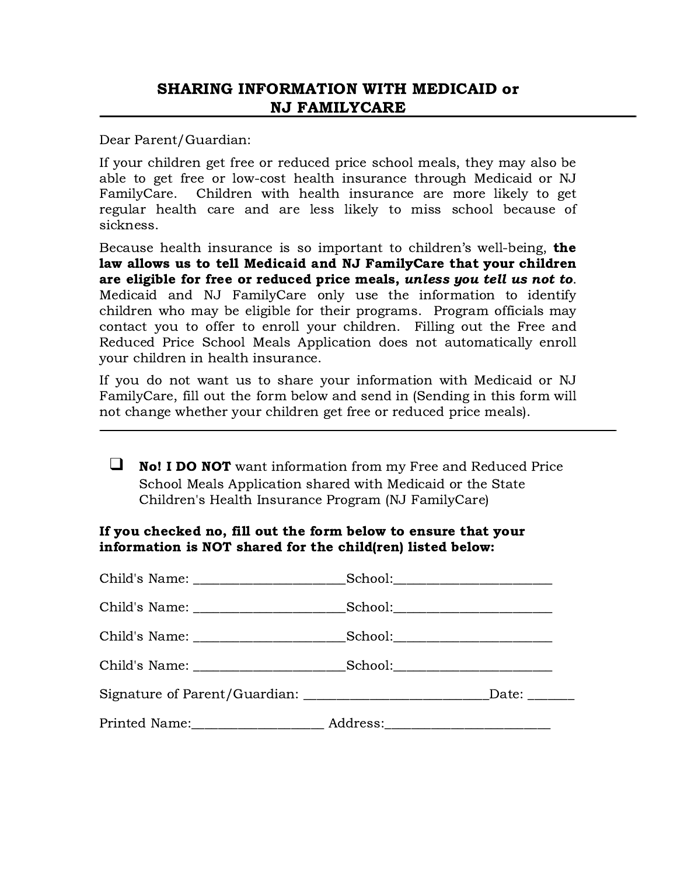Dear Parent/Guardian:

If your children get free or reduced price school meals, they may also be able to get free or low-cost health insurance through Medicaid or NJ FamilyCare. Children with health insurance are more likely to get regular health care and are less likely to miss school because of sickness.

Because health insurance is so important to children's well-being, **the** law allows us to tell Medicaid and NJ FamilyCare that your children are eligible for free or reduced price meals, unless you tell us not to. Medicaid and NJ FamilyCare only use the information to identify children who may be eligible for their programs. Program officials may contact you to offer to enroll your children. Filling out the Free and Reduced Price School Meals Application does not automatically enroll your children in health insurance.

If you do not want us to share your information with Medicaid or NJ FamilyCare, fill out the form below and send in (Sending in this form will not change whether your children get free or reduced price meals).

❑ No! I DO NOT want information from my Free and Reduced Price School Meals Application shared with Medicaid or the State Children's Health Insurance Program (NJ FamilyCare)

## If you checked no, fill out the form below to ensure that your information is NOT shared for the child(ren) listed below: